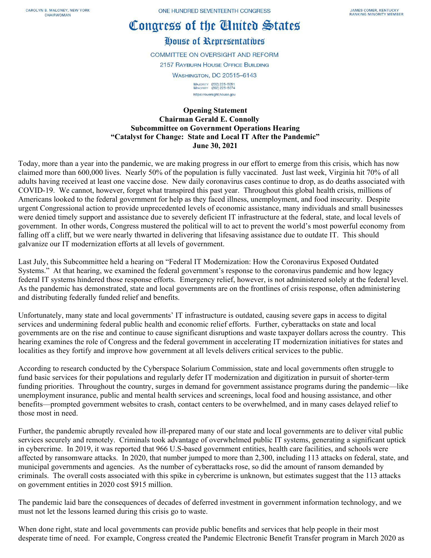CAROLYN B. MALONEY, NEW YORK CHAIRWOMAN

ONE HUNDRED SEVENTEENTH CONGRESS

## Congress of the Cinited States

## House of Representatives

**COMMITTEE ON OVERSIGHT AND REFORM** 2157 RAYBURN HOUSE OFFICE BUILDING **WASHINGTON, DC 20515-6143** MAJORITY (202) 225-5051<br>MINORITY (202) 225-5074 https://oversight.house.gov

## **Opening Statement Chairman Gerald E. Connolly Subcommittee on Government Operations Hearing "Catalyst for Change: State and Local IT After the Pandemic" June 30, 2021**

Today, more than a year into the pandemic, we are making progress in our effort to emerge from this crisis, which has now claimed more than 600,000 lives. Nearly 50% of the population is fully vaccinated. Just last week, Virginia hit 70% of all adults having received at least one vaccine dose. New daily coronavirus cases continue to drop, as do deaths associated with COVID-19. We cannot, however, forget what transpired this past year. Throughout this global health crisis, millions of Americans looked to the federal government for help as they faced illness, unemployment, and food insecurity. Despite urgent Congressional action to provide unprecedented levels of economic assistance, many individuals and small businesses were denied timely support and assistance due to severely deficient IT infrastructure at the federal, state, and local levels of government. In other words, Congress mustered the political will to act to prevent the world's most powerful economy from falling off a cliff, but we were nearly thwarted in delivering that lifesaving assistance due to outdate IT. This should galvanize our IT modernization efforts at all levels of government.

Last July, this Subcommittee held a hearing on "Federal IT Modernization: How the Coronavirus Exposed Outdated Systems." At that hearing, we examined the federal government's response to the coronavirus pandemic and how legacy federal IT systems hindered those response efforts. Emergency relief, however, is not administered solely at the federal level. As the pandemic has demonstrated, state and local governments are on the frontlines of crisis response, often administering and distributing federally funded relief and benefits.

Unfortunately, many state and local governments' IT infrastructure is outdated, causing severe gaps in access to digital services and undermining federal public health and economic relief efforts. Further, cyberattacks on state and local governments are on the rise and continue to cause significant disruptions and waste taxpayer dollars across the country. This hearing examines the role of Congress and the federal government in accelerating IT modernization initiatives for states and localities as they fortify and improve how government at all levels delivers critical services to the public.

According to research conducted by the Cyberspace Solarium Commission, state and local governments often struggle to fund basic services for their populations and regularly defer IT modernization and digitization in pursuit of shorter-term funding priorities. Throughout the country, surges in demand for government assistance programs during the pandemic—like unemployment insurance, public and mental health services and screenings, local food and housing assistance, and other benefits—prompted government websites to crash, contact centers to be overwhelmed, and in many cases delayed relief to those most in need.

Further, the pandemic abruptly revealed how ill-prepared many of our state and local governments are to deliver vital public services securely and remotely. Criminals took advantage of overwhelmed public IT systems, generating a significant uptick in cybercrime. In 2019, it was reported that 966 U.S-based government entities, health care facilities, and schools were affected by ransomware attacks. In 2020, that number jumped to more than 2,300, including 113 attacks on federal, state, and municipal governments and agencies. As the number of cyberattacks rose, so did the amount of ransom demanded by criminals. The overall costs associated with this spike in cybercrime is unknown, but estimates suggest that the 113 attacks on government entities in 2020 cost \$915 million.

The pandemic laid bare the consequences of decades of deferred investment in government information technology, and we must not let the lessons learned during this crisis go to waste.

When done right, state and local governments can provide public benefits and services that help people in their most desperate time of need. For example, Congress created the Pandemic Electronic Benefit Transfer program in March 2020 as